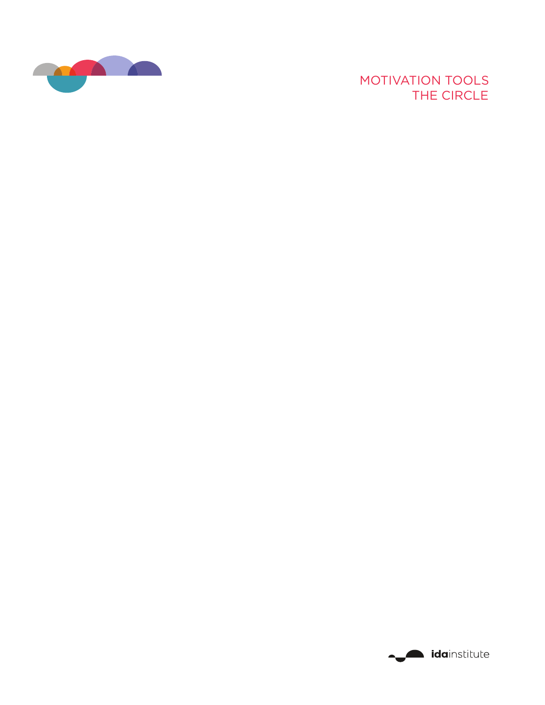

# MOTIVATION TOOLS THE CIRCLE

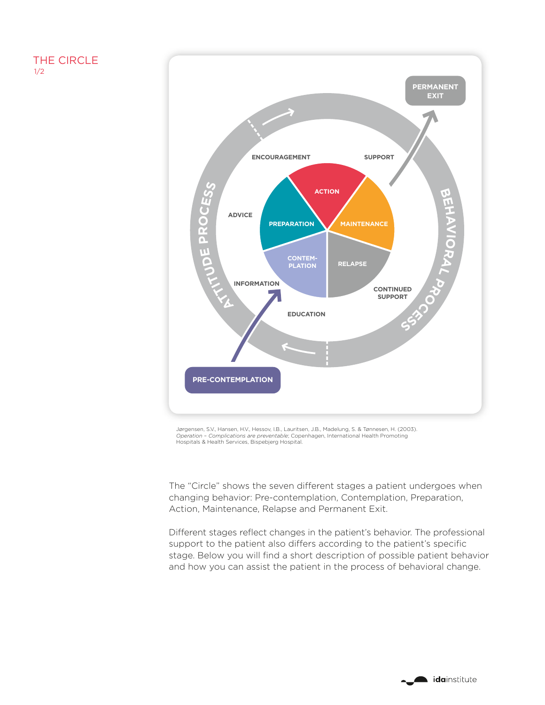# THE CIRCLE 1/2



Jørgensen, S.V., Hansen, H.V., Hessov, I.B., Lauritsen, J.B., Madelung, S. & Tønnesen, H. (2003). *Operation – Complications are preventable*; Copenhagen, International Health Promoting Hospitals & Health Services, Bispebjerg Hospital.

The "Circle" shows the seven different stages a patient undergoes when changing behavior: Pre-contemplation, Contemplation, Preparation, Action, Maintenance, Relapse and Permanent Exit.

Different stages reflect changes in the patient's behavior. The professional support to the patient also differs according to the patient's specific stage. Below you will find a short description of possible patient behavior and how you can assist the patient in the process of behavioral change.

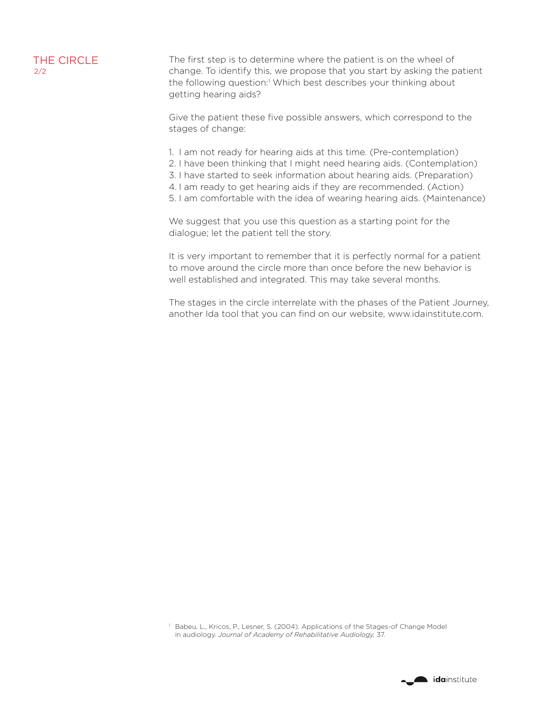#### THE CIRCLE 2/2

The first step is to determine where the patient is on the wheel of change. To identify this, we propose that you start by asking the patient the following question:<sup>1</sup> Which best describes your thinking about getting hearing aids?

Give the patient these five possible answers, which correspond to the stages of change:

- 1. I am not ready for hearing aids at this time. (Pre-contemplation)
- 2. I have been thinking that I might need hearing aids. (Contemplation)
- 3. I have started to seek information about hearing aids. (Preparation)
- 4. I am ready to get hearing aids if they are recommended. (Action)
- 5. I am comfortable with the idea of wearing hearing aids. (Maintenance)

We suggest that you use this question as a starting point for the dialogue; let the patient tell the story.

It is very important to remember that it is perfectly normal for a patient to move around the circle more than once before the new behavior is well established and integrated. This may take several months.

The stages in the circle interrelate with the phases of the Patient Journey, another Ida tool that you can find on our website, www.idainstitute.com.

1 Babeu, L., Kricos, P., Lesner, S. (2004). Applications of the Stages-of Change Model in audiology. *Journal of Academy of Rehabilitative Audiology,* 37.

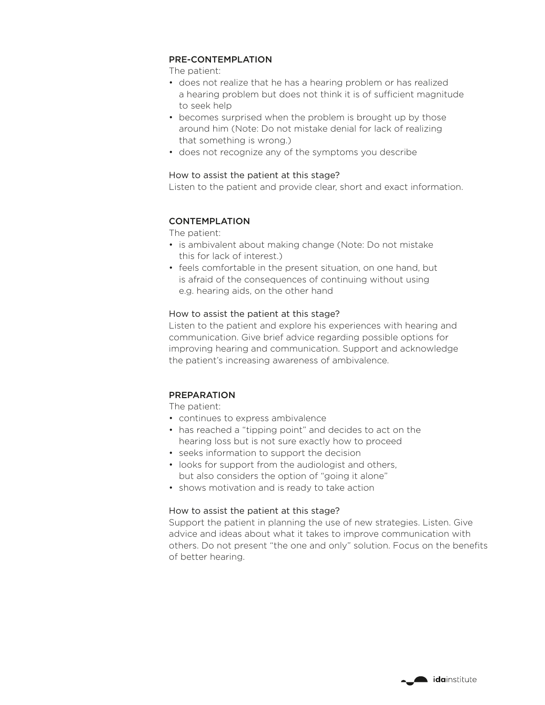### PRE-CONTEMPLATION

The patient:

- does not realize that he has a hearing problem or has realized a hearing problem but does not think it is of sufficient magnitude to seek help
- becomes surprised when the problem is brought up by those around him (Note: Do not mistake denial for lack of realizing that something is wrong.)
- does not recognize any of the symptoms you describe

## How to assist the patient at this stage?

Listen to the patient and provide clear, short and exact information.

# CONTEMPLATION

The patient:

- is ambivalent about making change (Note: Do not mistake this for lack of interest.)
- feels comfortable in the present situation, on one hand, but is afraid of the consequences of continuing without using e.g. hearing aids, on the other hand

# How to assist the patient at this stage?

Listen to the patient and explore his experiences with hearing and communication. Give brief advice regarding possible options for improving hearing and communication. Support and acknowledge the patient's increasing awareness of ambivalence.

# PREPARATION

The patient:

- continues to express ambivalence
- has reached a "tipping point" and decides to act on the hearing loss but is not sure exactly how to proceed
- seeks information to support the decision
- looks for support from the audiologist and others, but also considers the option of "going it alone"
- shows motivation and is ready to take action

# How to assist the patient at this stage?

Support the patient in planning the use of new strategies. Listen. Give advice and ideas about what it takes to improve communication with others. Do not present "the one and only" solution. Focus on the benefits of better hearing.

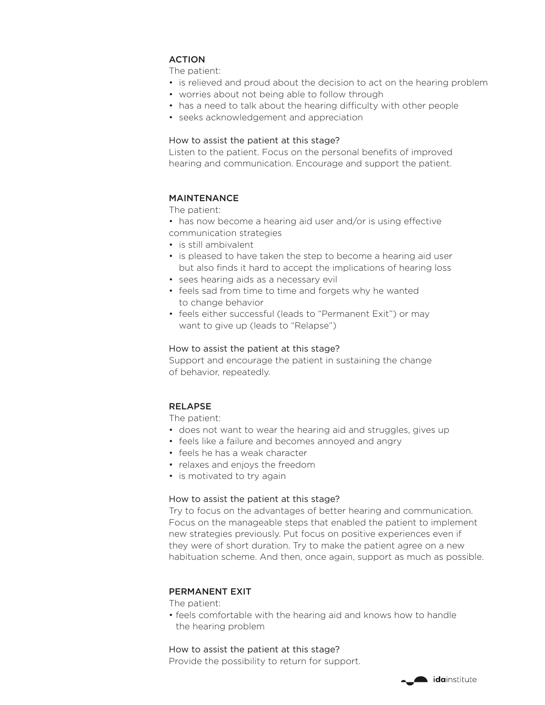# ACTION

The patient:

- is relieved and proud about the decision to act on the hearing problem
- worries about not being able to follow through
- has a need to talk about the hearing difficulty with other people
- seeks acknowledgement and appreciation

#### How to assist the patient at this stage?

Listen to the patient. Focus on the personal benefits of improved hearing and communication. Encourage and support the patient.

## MAINTENANCE

The patient:

- has now become a hearing aid user and/or is using effective
- communication strategies
- is still ambivalent
- is pleased to have taken the step to become a hearing aid user but also finds it hard to accept the implications of hearing loss
- sees hearing aids as a necessary evil
- feels sad from time to time and forgets why he wanted to change behavior
- feels either successful (leads to "Permanent Exit") or may want to give up (leads to "Relapse")

#### How to assist the patient at this stage?

Support and encourage the patient in sustaining the change of behavior, repeatedly.

# RELAPSE

The patient:

- does not want to wear the hearing aid and struggles, gives up
- feels like a failure and becomes annoyed and angry
- feels he has a weak character
- relaxes and enjoys the freedom
- is motivated to try again

#### How to assist the patient at this stage?

Try to focus on the advantages of better hearing and communication. Focus on the manageable steps that enabled the patient to implement new strategies previously. Put focus on positive experiences even if they were of short duration. Try to make the patient agree on a new habituation scheme. And then, once again, support as much as possible.

#### PERMANENT EXIT

The patient:

• feels comfortable with the hearing aid and knows how to handle the hearing problem

#### How to assist the patient at this stage?

Provide the possibility to return for support.